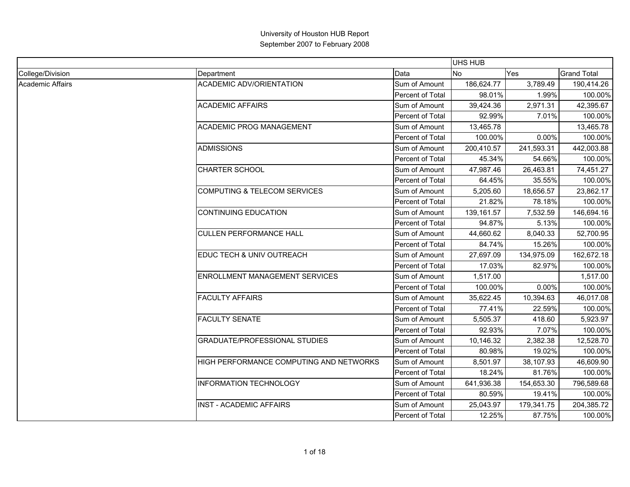|                  |                                         |                         | <b>UHS HUB</b> |            |                    |
|------------------|-----------------------------------------|-------------------------|----------------|------------|--------------------|
| College/Division | Department                              | Data                    | <b>No</b>      | Yes        | <b>Grand Total</b> |
| Academic Affairs | <b>ACADEMIC ADV/ORIENTATION</b>         | Sum of Amount           | 186,624.77     | 3,789.49   | 190,414.26         |
|                  |                                         | Percent of Total        | 98.01%         | 1.99%      | 100.00%            |
|                  | <b>ACADEMIC AFFAIRS</b>                 | Sum of Amount           | 39,424.36      | 2,971.31   | 42,395.67          |
|                  |                                         | Percent of Total        | 92.99%         | 7.01%      | 100.00%            |
|                  | <b>ACADEMIC PROG MANAGEMENT</b>         | Sum of Amount           | 13,465.78      |            | 13,465.78          |
|                  |                                         | Percent of Total        | 100.00%        | $0.00\%$   | 100.00%            |
|                  | <b>ADMISSIONS</b>                       | Sum of Amount           | 200,410.57     | 241,593.31 | 442,003.88         |
|                  |                                         | Percent of Total        | 45.34%         | 54.66%     | 100.00%            |
|                  | <b>CHARTER SCHOOL</b>                   | Sum of Amount           | 47,987.46      | 26,463.81  | 74,451.27          |
|                  |                                         | Percent of Total        | 64.45%         | 35.55%     | 100.00%            |
|                  | <b>COMPUTING &amp; TELECOM SERVICES</b> | Sum of Amount           | 5,205.60       | 18,656.57  | 23,862.17          |
|                  |                                         | Percent of Total        | 21.82%         | 78.18%     | 100.00%            |
|                  | <b>CONTINUING EDUCATION</b>             | Sum of Amount           | 139,161.57     | 7,532.59   | 146,694.16         |
|                  |                                         | Percent of Total        | 94.87%         | 5.13%      | 100.00%            |
|                  | <b>CULLEN PERFORMANCE HALL</b>          | Sum of Amount           | 44,660.62      | 8,040.33   | 52,700.95          |
|                  |                                         | Percent of Total        | 84.74%         | 15.26%     | 100.00%            |
|                  | EDUC TECH & UNIV OUTREACH               | Sum of Amount           | 27,697.09      | 134,975.09 | 162,672.18         |
|                  |                                         | Percent of Total        | 17.03%         | 82.97%     | 100.00%            |
|                  | <b>ENROLLMENT MANAGEMENT SERVICES</b>   | Sum of Amount           | 1,517.00       |            | 1,517.00           |
|                  |                                         | Percent of Total        | 100.00%        | 0.00%      | 100.00%            |
|                  | <b>FACULTY AFFAIRS</b>                  | Sum of Amount           | 35,622.45      | 10,394.63  | 46,017.08          |
|                  |                                         | Percent of Total        | 77.41%         | 22.59%     | 100.00%            |
|                  | <b>FACULTY SENATE</b>                   | Sum of Amount           | 5,505.37       | 418.60     | 5,923.97           |
|                  |                                         | Percent of Total        | 92.93%         | 7.07%      | 100.00%            |
|                  | <b>GRADUATE/PROFESSIONAL STUDIES</b>    | Sum of Amount           | 10,146.32      | 2,382.38   | 12,528.70          |
|                  |                                         | Percent of Total        | 80.98%         | 19.02%     | 100.00%            |
|                  | HIGH PERFORMANCE COMPUTING AND NETWORKS | Sum of Amount           | 8,501.97       | 38,107.93  | 46,609.90          |
|                  |                                         | <b>Percent of Total</b> | 18.24%         | 81.76%     | 100.00%            |
|                  | <b>INFORMATION TECHNOLOGY</b>           | Sum of Amount           | 641,936.38     | 154,653.30 | 796,589.68         |
|                  |                                         | Percent of Total        | 80.59%         | 19.41%     | 100.00%            |
|                  | <b>INST - ACADEMIC AFFAIRS</b>          | Sum of Amount           | 25,043.97      | 179,341.75 | 204,385.72         |
|                  |                                         | Percent of Total        | 12.25%         | 87.75%     | 100.00%            |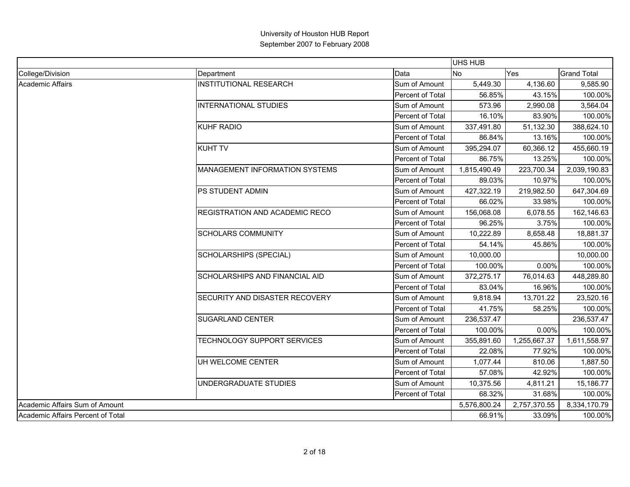|                                   |                                       |                  | UHS HUB        |              |                    |
|-----------------------------------|---------------------------------------|------------------|----------------|--------------|--------------------|
| College/Division                  | Department                            | Data             | N <sub>o</sub> | Yes          | <b>Grand Total</b> |
| Academic Affairs                  | <b>INSTITUTIONAL RESEARCH</b>         | Sum of Amount    | 5,449.30       | 4,136.60     | 9,585.90           |
|                                   |                                       | Percent of Total | 56.85%         | 43.15%       | 100.00%            |
|                                   | <b>INTERNATIONAL STUDIES</b>          | Sum of Amount    | 573.96         | 2,990.08     | 3,564.04           |
|                                   |                                       | Percent of Total | 16.10%         | 83.90%       | 100.00%            |
|                                   | KUHF RADIO                            | Sum of Amount    | 337,491.80     | 51,132.30    | 388,624.10         |
|                                   |                                       | Percent of Total | 86.84%         | 13.16%       | 100.00%            |
|                                   | <b>KUHT TV</b>                        | Sum of Amount    | 395,294.07     | 60,366.12    | 455,660.19         |
|                                   |                                       | Percent of Total | 86.75%         | 13.25%       | 100.00%            |
|                                   | <b>MANAGEMENT INFORMATION SYSTEMS</b> | Sum of Amount    | 1,815,490.49   | 223,700.34   | 2,039,190.83       |
|                                   |                                       | Percent of Total | 89.03%         | 10.97%       | 100.00%            |
|                                   | PS STUDENT ADMIN                      | Sum of Amount    | 427,322.19     | 219,982.50   | 647,304.69         |
|                                   |                                       | Percent of Total | 66.02%         | 33.98%       | 100.00%            |
|                                   | <b>REGISTRATION AND ACADEMIC RECO</b> | Sum of Amount    | 156,068.08     | 6,078.55     | 162,146.63         |
|                                   |                                       | Percent of Total | 96.25%         | 3.75%        | 100.00%            |
|                                   | <b>SCHOLARS COMMUNITY</b>             | Sum of Amount    | 10,222.89      | 8,658.48     | 18,881.37          |
|                                   |                                       | Percent of Total | 54.14%         | 45.86%       | 100.00%            |
|                                   | <b>SCHOLARSHIPS (SPECIAL)</b>         | Sum of Amount    | 10,000.00      |              | 10,000.00          |
|                                   |                                       | Percent of Total | 100.00%        | 0.00%        | 100.00%            |
|                                   | SCHOLARSHIPS AND FINANCIAL AID        | Sum of Amount    | 372,275.17     | 76,014.63    | 448,289.80         |
|                                   |                                       | Percent of Total | 83.04%         | 16.96%       | 100.00%            |
|                                   | SECURITY AND DISASTER RECOVERY        | Sum of Amount    | 9,818.94       | 13,701.22    | 23,520.16          |
|                                   |                                       | Percent of Total | 41.75%         | 58.25%       | 100.00%            |
|                                   | <b>SUGARLAND CENTER</b>               | Sum of Amount    | 236,537.47     |              | 236,537.47         |
|                                   |                                       | Percent of Total | 100.00%        | $0.00\%$     | 100.00%            |
|                                   | TECHNOLOGY SUPPORT SERVICES           | Sum of Amount    | 355,891.60     | 1,255,667.37 | 1,611,558.97       |
|                                   |                                       | Percent of Total | 22.08%         | 77.92%       | 100.00%            |
|                                   | UH WELCOME CENTER                     | Sum of Amount    | 1,077.44       | 810.06       | 1,887.50           |
|                                   |                                       | Percent of Total | 57.08%         | 42.92%       | 100.00%            |
|                                   | UNDERGRADUATE STUDIES                 | Sum of Amount    | 10,375.56      | 4,811.21     | 15,186.77          |
|                                   |                                       | Percent of Total | 68.32%         | 31.68%       | 100.00%            |
| Academic Affairs Sum of Amount    |                                       |                  | 5,576,800.24   | 2,757,370.55 | 8,334,170.79       |
| Academic Affairs Percent of Total |                                       | 66.91%           | 33.09%         | 100.00%      |                    |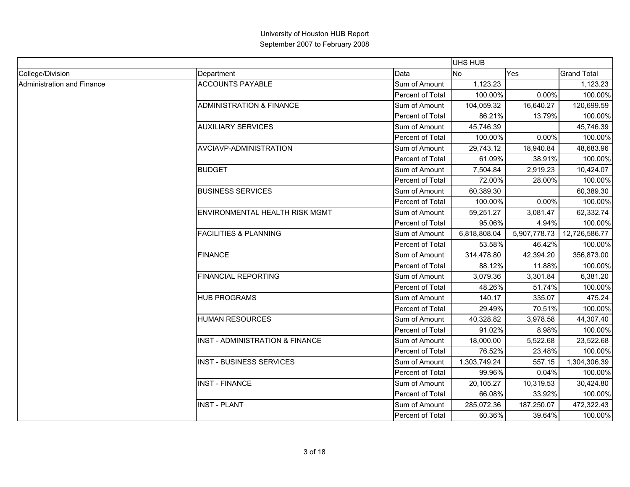|                            |                                       |                  | UHS HUB        |              |                    |
|----------------------------|---------------------------------------|------------------|----------------|--------------|--------------------|
| College/Division           | Department                            | Data             | N <sub>O</sub> | Yes          | <b>Grand Total</b> |
| Administration and Finance | <b>ACCOUNTS PAYABLE</b>               | Sum of Amount    | 1,123.23       |              | 1,123.23           |
|                            |                                       | Percent of Total | 100.00%        | 0.00%        | 100.00%            |
|                            | <b>ADMINISTRATION &amp; FINANCE</b>   | Sum of Amount    | 104,059.32     | 16,640.27    | 120,699.59         |
|                            |                                       | Percent of Total | 86.21%         | 13.79%       | 100.00%            |
|                            | <b>AUXILIARY SERVICES</b>             | Sum of Amount    | 45,746.39      |              | 45,746.39          |
|                            |                                       | Percent of Total | 100.00%        | 0.00%        | 100.00%            |
|                            | AVCIAVP-ADMINISTRATION                | Sum of Amount    | 29,743.12      | 18,940.84    | 48,683.96          |
|                            |                                       | Percent of Total | 61.09%         | 38.91%       | 100.00%            |
|                            | <b>BUDGET</b>                         | Sum of Amount    | 7,504.84       | 2,919.23     | 10,424.07          |
|                            |                                       | Percent of Total | 72.00%         | 28.00%       | 100.00%            |
|                            | <b>BUSINESS SERVICES</b>              | Sum of Amount    | 60,389.30      |              | 60,389.30          |
|                            |                                       | Percent of Total | 100.00%        | 0.00%        | 100.00%            |
|                            | <b>ENVIRONMENTAL HEALTH RISK MGMT</b> | Sum of Amount    | 59,251.27      | 3,081.47     | 62,332.74          |
|                            |                                       | Percent of Total | 95.06%         | 4.94%        | 100.00%            |
|                            | <b>FACILITIES &amp; PLANNING</b>      | Sum of Amount    | 6,818,808.04   | 5,907,778.73 | 12,726,586.77      |
|                            |                                       | Percent of Total | 53.58%         | 46.42%       | 100.00%            |
|                            | <b>FINANCE</b>                        | Sum of Amount    | 314,478.80     | 42,394.20    | 356,873.00         |
|                            |                                       | Percent of Total | 88.12%         | 11.88%       | 100.00%            |
|                            | <b>FINANCIAL REPORTING</b>            | Sum of Amount    | 3,079.36       | 3,301.84     | 6,381.20           |
|                            |                                       | Percent of Total | 48.26%         | 51.74%       | 100.00%            |
|                            | <b>HUB PROGRAMS</b>                   | Sum of Amount    | 140.17         | 335.07       | 475.24             |
|                            |                                       | Percent of Total | 29.49%         | 70.51%       | 100.00%            |
|                            | <b>HUMAN RESOURCES</b>                | Sum of Amount    | 40,328.82      | 3,978.58     | 44,307.40          |
|                            |                                       | Percent of Total | 91.02%         | 8.98%        | 100.00%            |
|                            | INST - ADMINISTRATION & FINANCE       | Sum of Amount    | 18,000.00      | 5,522.68     | 23,522.68          |
|                            |                                       | Percent of Total | 76.52%         | 23.48%       | 100.00%            |
|                            | <b>INST - BUSINESS SERVICES</b>       | Sum of Amount    | 1,303,749.24   | 557.15       | 1,304,306.39       |
|                            |                                       | Percent of Total | 99.96%         | 0.04%        | 100.00%            |
|                            | <b>INST - FINANCE</b>                 | Sum of Amount    | 20,105.27      | 10,319.53    | 30,424.80          |
|                            |                                       | Percent of Total | 66.08%         | 33.92%       | 100.00%            |
|                            | <b>INST - PLANT</b>                   | Sum of Amount    | 285,072.36     | 187,250.07   | 472,322.43         |
|                            |                                       | Percent of Total | 60.36%         | 39.64%       | 100.00%            |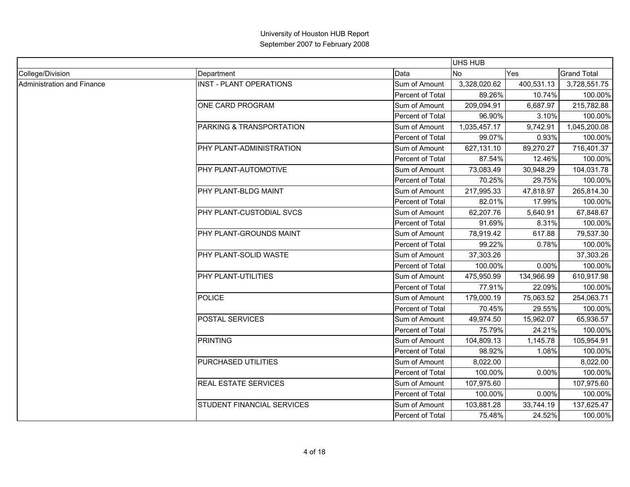|                                   |                                 |                  | UHS HUB      |            |                    |  |
|-----------------------------------|---------------------------------|------------------|--------------|------------|--------------------|--|
| College/Division                  | Department                      | Data             | <b>No</b>    | Yes        | <b>Grand Total</b> |  |
| <b>Administration and Finance</b> | <b>INST - PLANT OPERATIONS</b>  | Sum of Amount    | 3,328,020.62 | 400,531.13 | 3,728,551.75       |  |
|                                   |                                 | Percent of Total | 89.26%       | 10.74%     | 100.00%            |  |
|                                   | ONE CARD PROGRAM                | Sum of Amount    | 209,094.91   | 6,687.97   | 215,782.88         |  |
|                                   |                                 | Percent of Total | 96.90%       | 3.10%      | 100.00%            |  |
|                                   | PARKING & TRANSPORTATION        | Sum of Amount    | 1,035,457.17 | 9,742.91   | 1,045,200.08       |  |
|                                   |                                 | Percent of Total | 99.07%       | 0.93%      | 100.00%            |  |
|                                   | PHY PLANT-ADMINISTRATION        | Sum of Amount    | 627,131.10   | 89,270.27  | 716,401.37         |  |
|                                   |                                 | Percent of Total | 87.54%       | 12.46%     | 100.00%            |  |
|                                   | PHY PLANT-AUTOMOTIVE            | Sum of Amount    | 73,083.49    | 30,948.29  | 104,031.78         |  |
|                                   |                                 | Percent of Total | 70.25%       | 29.75%     | 100.00%            |  |
|                                   | <b>PHY PLANT-BLDG MAINT</b>     | Sum of Amount    | 217,995.33   | 47,818.97  | 265,814.30         |  |
|                                   |                                 | Percent of Total | 82.01%       | 17.99%     | 100.00%            |  |
|                                   | <b>PHY PLANT-CUSTODIAL SVCS</b> | Sum of Amount    | 62,207.76    | 5,640.91   | 67,848.67          |  |
|                                   |                                 | Percent of Total | 91.69%       | 8.31%      | 100.00%            |  |
|                                   | PHY PLANT-GROUNDS MAINT         | Sum of Amount    | 78,919.42    | 617.88     | 79,537.30          |  |
|                                   |                                 | Percent of Total | 99.22%       | 0.78%      | 100.00%            |  |
|                                   | PHY PLANT-SOLID WASTE           | Sum of Amount    | 37,303.26    |            | 37,303.26          |  |
|                                   |                                 | Percent of Total | 100.00%      | 0.00%      | 100.00%            |  |
|                                   | <b>PHY PLANT-UTILITIES</b>      | Sum of Amount    | 475,950.99   | 134,966.99 | 610,917.98         |  |
|                                   |                                 | Percent of Total | 77.91%       | 22.09%     | 100.00%            |  |
|                                   | <b>POLICE</b>                   | Sum of Amount    | 179,000.19   | 75,063.52  | 254,063.71         |  |
|                                   |                                 | Percent of Total | 70.45%       | 29.55%     | 100.00%            |  |
|                                   | <b>POSTAL SERVICES</b>          | Sum of Amount    | 49,974.50    | 15,962.07  | 65,936.57          |  |
|                                   |                                 | Percent of Total | 75.79%       | 24.21%     | 100.00%            |  |
|                                   | <b>PRINTING</b>                 | Sum of Amount    | 104,809.13   | 1,145.78   | 105,954.91         |  |
|                                   |                                 | Percent of Total | 98.92%       | 1.08%      | 100.00%            |  |
|                                   | PURCHASED UTILITIES             | Sum of Amount    | 8,022.00     |            | 8,022.00           |  |
|                                   |                                 | Percent of Total | 100.00%      | 0.00%      | 100.00%            |  |
|                                   | <b>REAL ESTATE SERVICES</b>     | Sum of Amount    | 107,975.60   |            | 107,975.60         |  |
|                                   |                                 | Percent of Total | 100.00%      | 0.00%      | 100.00%            |  |
|                                   | STUDENT FINANCIAL SERVICES      | Sum of Amount    | 103,881.28   | 33,744.19  | 137,625.47         |  |
|                                   |                                 | Percent of Total | 75.48%       | 24.52%     | 100.00%            |  |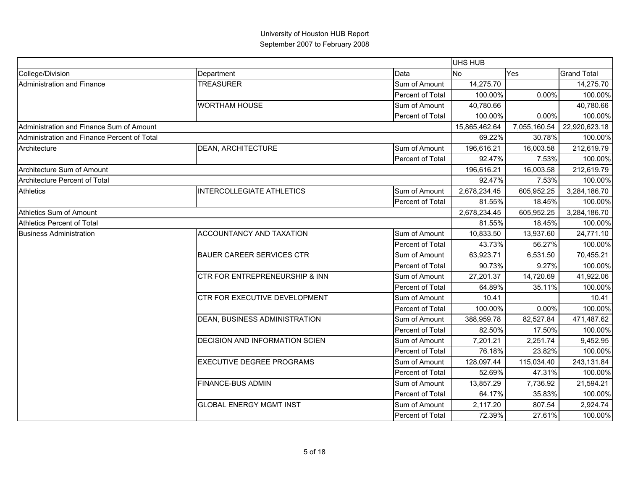|                                             |                                      |                  | <b>UHS HUB</b> |              |                    |
|---------------------------------------------|--------------------------------------|------------------|----------------|--------------|--------------------|
| College/Division                            | Department                           | Data             | No.            | Yes          | <b>Grand Total</b> |
| Administration and Finance                  | <b>TREASURER</b>                     | Sum of Amount    | 14,275.70      |              | 14,275.70          |
|                                             |                                      | Percent of Total | 100.00%        | 0.00%        | 100.00%            |
|                                             | <b>WORTHAM HOUSE</b>                 | Sum of Amount    | 40,780.66      |              | 40,780.66          |
|                                             |                                      | Percent of Total | 100.00%        | 0.00%        | 100.00%            |
| Administration and Finance Sum of Amount    |                                      |                  | 15,865,462.64  | 7,055,160.54 | 22,920,623.18      |
| Administration and Finance Percent of Total |                                      |                  | 69.22%         | 30.78%       | 100.00%            |
| Architecture                                | <b>DEAN, ARCHITECTURE</b>            | Sum of Amount    | 196,616.21     | 16,003.58    | 212,619.79         |
|                                             |                                      | Percent of Total | 92.47%         | 7.53%        | 100.00%            |
| Architecture Sum of Amount                  |                                      |                  | 196,616.21     | 16,003.58    | 212,619.79         |
| Architecture Percent of Total               |                                      |                  | 92.47%         | 7.53%        | 100.00%            |
| <b>Athletics</b>                            | <b>INTERCOLLEGIATE ATHLETICS</b>     | Sum of Amount    | 2,678,234.45   | 605,952.25   | 3,284,186.70       |
|                                             |                                      | Percent of Total | 81.55%         | 18.45%       | 100.00%            |
| <b>Athletics Sum of Amount</b>              |                                      |                  | 2,678,234.45   | 605,952.25   | 3,284,186.70       |
| <b>Athletics Percent of Total</b>           |                                      |                  | 81.55%         | 18.45%       | 100.00%            |
| <b>Business Administration</b>              | ACCOUNTANCY AND TAXATION             | Sum of Amount    | 10,833.50      | 13,937.60    | 24,771.10          |
|                                             |                                      | Percent of Total | 43.73%         | 56.27%       | 100.00%            |
|                                             | <b>BAUER CAREER SERVICES CTR</b>     | Sum of Amount    | 63,923.71      | 6,531.50     | 70,455.21          |
|                                             |                                      | Percent of Total | 90.73%         | 9.27%        | 100.00%            |
|                                             | CTR FOR ENTREPRENEURSHIP & INN       | Sum of Amount    | 27,201.37      | 14,720.69    | 41,922.06          |
|                                             |                                      | Percent of Total | 64.89%         | 35.11%       | 100.00%            |
|                                             | CTR FOR EXECUTIVE DEVELOPMENT        | Sum of Amount    | 10.41          |              | 10.41              |
|                                             |                                      | Percent of Total | 100.00%        | 0.00%        | 100.00%            |
|                                             | <b>DEAN, BUSINESS ADMINISTRATION</b> | Sum of Amount    | 388,959.78     | 82,527.84    | 471,487.62         |
|                                             |                                      | Percent of Total | 82.50%         | 17.50%       | 100.00%            |
|                                             | DECISION AND INFORMATION SCIEN       | Sum of Amount    | 7,201.21       | 2,251.74     | 9,452.95           |
|                                             |                                      | Percent of Total | 76.18%         | 23.82%       | 100.00%            |
|                                             | <b>EXECUTIVE DEGREE PROGRAMS</b>     | Sum of Amount    | 128,097.44     | 115,034.40   | 243,131.84         |
|                                             |                                      | Percent of Total | 52.69%         | 47.31%       | 100.00%            |
|                                             | <b>FINANCE-BUS ADMIN</b>             | Sum of Amount    | 13,857.29      | 7,736.92     | 21,594.21          |
|                                             |                                      | Percent of Total | 64.17%         | 35.83%       | 100.00%            |
|                                             | <b>GLOBAL ENERGY MGMT INST</b>       | Sum of Amount    | 2,117.20       | 807.54       | 2,924.74           |
|                                             |                                      | Percent of Total | 72.39%         | 27.61%       | 100.00%            |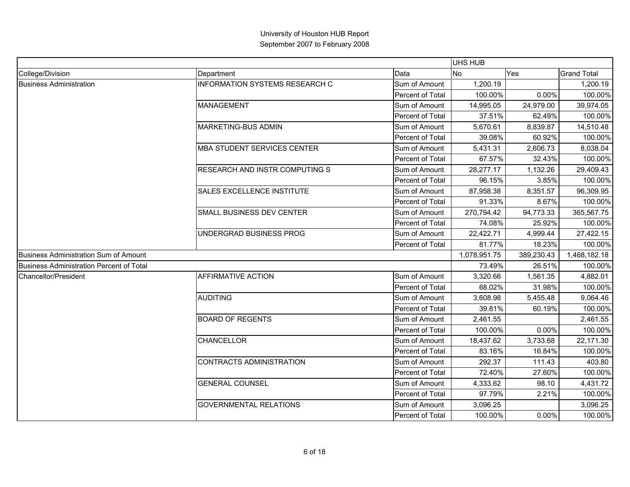|                                              |                                       |                  | <b>UHS HUB</b> |            |                    |
|----------------------------------------------|---------------------------------------|------------------|----------------|------------|--------------------|
| College/Division                             | Department                            | Data             | <b>No</b>      | Yes        | <b>Grand Total</b> |
| <b>Business Administration</b>               | <b>INFORMATION SYSTEMS RESEARCH C</b> | Sum of Amount    | 1,200.19       |            | 1,200.19           |
|                                              |                                       | Percent of Total | 100.00%        | 0.00%      | 100.00%            |
|                                              | <b>MANAGEMENT</b>                     | Sum of Amount    | 14,995.05      | 24,979.00  | 39,974.05          |
|                                              |                                       | Percent of Total | 37.51%         | 62.49%     | 100.00%            |
|                                              | <b>MARKETING-BUS ADMIN</b>            | Sum of Amount    | 5,670.61       | 8,839.87   | 14,510.48          |
|                                              |                                       | Percent of Total | 39.08%         | 60.92%     | 100.00%            |
|                                              | <b>MBA STUDENT SERVICES CENTER</b>    | Sum of Amount    | 5,431.31       | 2,606.73   | 8,038.04           |
|                                              |                                       | Percent of Total | 67.57%         | 32.43%     | 100.00%            |
|                                              | RESEARCH AND INSTR COMPUTING S        | Sum of Amount    | 28,277.17      | 1,132.26   | 29,409.43          |
|                                              |                                       | Percent of Total | 96.15%         | 3.85%      | 100.00%            |
|                                              | SALES EXCELLENCE INSTITUTE            | Sum of Amount    | 87,958.38      | 8,351.57   | 96,309.95          |
|                                              |                                       | Percent of Total | 91.33%         | 8.67%      | 100.00%            |
|                                              | SMALL BUSINESS DEV CENTER             | Sum of Amount    | 270,794.42     | 94,773.33  | 365,567.75         |
|                                              |                                       | Percent of Total | 74.08%         | 25.92%     | 100.00%            |
|                                              | UNDERGRAD BUSINESS PROG               | Sum of Amount    | 22,422.71      | 4,999.44   | 27,422.15          |
|                                              |                                       | Percent of Total | 81.77%         | 18.23%     | 100.00%            |
| <b>Business Administration Sum of Amount</b> |                                       |                  | 1,078,951.75   | 389,230.43 | 1,468,182.18       |
| Business Administration Percent of Total     |                                       |                  | 73.49%         | 26.51%     | 100.00%            |
| Chancellor/President                         | <b>AFFIRMATIVE ACTION</b>             | Sum of Amount    | 3,320.66       | 1,561.35   | 4,882.01           |
|                                              |                                       | Percent of Total | 68.02%         | 31.98%     | 100.00%            |
|                                              | <b>AUDITING</b>                       | Sum of Amount    | 3,608.98       | 5,455.48   | 9,064.46           |
|                                              |                                       | Percent of Total | 39.81%         | 60.19%     | 100.00%            |
|                                              | <b>BOARD OF REGENTS</b>               | Sum of Amount    | 2,461.55       |            | 2,461.55           |
|                                              |                                       | Percent of Total | 100.00%        | 0.00%      | 100.00%            |
|                                              | CHANCELLOR                            | Sum of Amount    | 18,437.62      | 3,733.68   | 22,171.30          |
|                                              |                                       | Percent of Total | 83.16%         | 16.84%     | 100.00%            |
|                                              | <b>CONTRACTS ADMINISTRATION</b>       | Sum of Amount    | 292.37         | 111.43     | 403.80             |
|                                              |                                       | Percent of Total | 72.40%         | 27.60%     | 100.00%            |
|                                              | <b>GENERAL COUNSEL</b>                | Sum of Amount    | 4,333.62       | 98.10      | 4,431.72           |
|                                              |                                       | Percent of Total | 97.79%         | 2.21%      | 100.00%            |
|                                              | <b>GOVERNMENTAL RELATIONS</b>         | Sum of Amount    | 3,096.25       |            | 3,096.25           |
|                                              |                                       | Percent of Total | 100.00%        | 0.00%      | 100.00%            |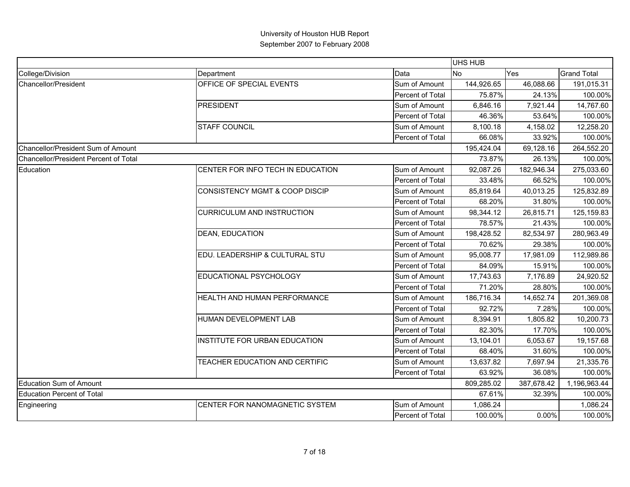|                                       |                                           |                  | <b>UHS HUB</b> |            |                    |
|---------------------------------------|-------------------------------------------|------------------|----------------|------------|--------------------|
| College/Division                      | Department                                | Data             | <b>No</b>      | Yes        | <b>Grand Total</b> |
| Chancellor/President                  | OFFICE OF SPECIAL EVENTS                  | Sum of Amount    | 144,926.65     | 46,088.66  | 191,015.31         |
|                                       |                                           | Percent of Total | 75.87%         | 24.13%     | 100.00%            |
|                                       | <b>PRESIDENT</b>                          | Sum of Amount    | 6,846.16       | 7,921.44   | 14,767.60          |
|                                       |                                           | Percent of Total | 46.36%         | 53.64%     | 100.00%            |
|                                       | <b>STAFF COUNCIL</b>                      | Sum of Amount    | 8,100.18       | 4,158.02   | 12,258.20          |
|                                       |                                           | Percent of Total | 66.08%         | 33.92%     | 100.00%            |
| Chancellor/President Sum of Amount    |                                           |                  | 195,424.04     | 69,128.16  | 264,552.20         |
| Chancellor/President Percent of Total |                                           |                  | 73.87%         | 26.13%     | 100.00%            |
| Education                             | CENTER FOR INFO TECH IN EDUCATION         | Sum of Amount    | 92,087.26      | 182,946.34 | 275,033.60         |
|                                       |                                           | Percent of Total | 33.48%         | 66.52%     | 100.00%            |
|                                       | <b>CONSISTENCY MGMT &amp; COOP DISCIP</b> | Sum of Amount    | 85,819.64      | 40,013.25  | 125,832.89         |
|                                       |                                           | Percent of Total | 68.20%         | 31.80%     | 100.00%            |
|                                       | <b>CURRICULUM AND INSTRUCTION</b>         | Sum of Amount    | 98,344.12      | 26,815.71  | 125,159.83         |
|                                       |                                           | Percent of Total | 78.57%         | 21.43%     | 100.00%            |
|                                       | <b>DEAN, EDUCATION</b>                    | Sum of Amount    | 198,428.52     | 82,534.97  | 280,963.49         |
|                                       |                                           | Percent of Total | 70.62%         | 29.38%     | 100.00%            |
|                                       | EDU. LEADERSHIP & CULTURAL STU            | Sum of Amount    | 95,008.77      | 17,981.09  | 112,989.86         |
|                                       |                                           | Percent of Total | 84.09%         | 15.91%     | 100.00%            |
|                                       | EDUCATIONAL PSYCHOLOGY                    | Sum of Amount    | 17,743.63      | 7,176.89   | 24,920.52          |
|                                       |                                           | Percent of Total | 71.20%         | 28.80%     | 100.00%            |
|                                       | HEALTH AND HUMAN PERFORMANCE              | Sum of Amount    | 186,716.34     | 14,652.74  | 201,369.08         |
|                                       |                                           | Percent of Total | 92.72%         | 7.28%      | 100.00%            |
|                                       | HUMAN DEVELOPMENT LAB                     | Sum of Amount    | 8,394.91       | 1,805.82   | 10,200.73          |
|                                       |                                           | Percent of Total | 82.30%         | 17.70%     | 100.00%            |
|                                       | INSTITUTE FOR URBAN EDUCATION             | Sum of Amount    | 13,104.01      | 6,053.67   | 19,157.68          |
|                                       |                                           | Percent of Total | 68.40%         | 31.60%     | 100.00%            |
|                                       | TEACHER EDUCATION AND CERTIFIC            | Sum of Amount    | 13,637.82      | 7,697.94   | 21,335.76          |
|                                       |                                           | Percent of Total | 63.92%         | 36.08%     | 100.00%            |
| Education Sum of Amount               |                                           |                  | 809,285.02     | 387,678.42 | 1,196,963.44       |
| Education Percent of Total            |                                           |                  | 67.61%         | 32.39%     | 100.00%            |
| Engineering                           | CENTER FOR NANOMAGNETIC SYSTEM            | Sum of Amount    | 1,086.24       |            | 1,086.24           |
|                                       |                                           | Percent of Total | 100.00%        | 0.00%      | 100.00%            |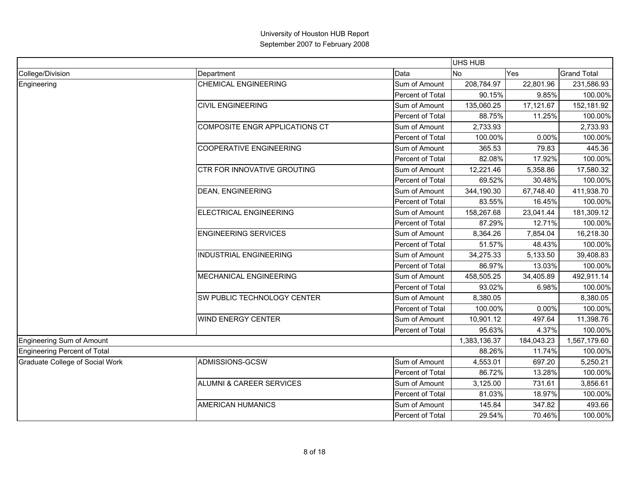|                                 |                                     |                  | <b>UHS HUB</b> |            |                    |
|---------------------------------|-------------------------------------|------------------|----------------|------------|--------------------|
| College/Division                | Department                          | Data             | <b>No</b>      | Yes        | <b>Grand Total</b> |
| Engineering                     | <b>CHEMICAL ENGINEERING</b>         | Sum of Amount    | 208,784.97     | 22,801.96  | 231,586.93         |
|                                 |                                     | Percent of Total | 90.15%         | 9.85%      | 100.00%            |
|                                 | <b>CIVIL ENGINEERING</b>            | Sum of Amount    | 135,060.25     | 17,121.67  | 152,181.92         |
|                                 |                                     | Percent of Total | 88.75%         | 11.25%     | 100.00%            |
|                                 | COMPOSITE ENGR APPLICATIONS CT      | Sum of Amount    | 2,733.93       |            | 2,733.93           |
|                                 |                                     | Percent of Total | 100.00%        | 0.00%      | 100.00%            |
|                                 | COOPERATIVE ENGINEERING             | Sum of Amount    | 365.53         | 79.83      | 445.36             |
|                                 |                                     | Percent of Total | 82.08%         | 17.92%     | 100.00%            |
|                                 | <b>CTR FOR INNOVATIVE GROUTING</b>  | Sum of Amount    | 12,221.46      | 5,358.86   | 17,580.32          |
|                                 |                                     | Percent of Total | 69.52%         | 30.48%     | 100.00%            |
|                                 | <b>DEAN, ENGINEERING</b>            | Sum of Amount    | 344,190.30     | 67,748.40  | 411,938.70         |
|                                 |                                     | Percent of Total | 83.55%         | 16.45%     | 100.00%            |
|                                 | ELECTRICAL ENGINEERING              | Sum of Amount    | 158,267.68     | 23,041.44  | 181,309.12         |
|                                 |                                     | Percent of Total | 87.29%         | 12.71%     | 100.00%            |
|                                 | <b>ENGINEERING SERVICES</b>         | Sum of Amount    | 8,364.26       | 7,854.04   | 16,218.30          |
|                                 |                                     | Percent of Total | 51.57%         | 48.43%     | 100.00%            |
|                                 | <b>INDUSTRIAL ENGINEERING</b>       | Sum of Amount    | 34,275.33      | 5,133.50   | 39,408.83          |
|                                 |                                     | Percent of Total | 86.97%         | 13.03%     | 100.00%            |
|                                 | MECHANICAL ENGINEERING              | Sum of Amount    | 458,505.25     | 34,405.89  | 492,911.14         |
|                                 |                                     | Percent of Total | 93.02%         | 6.98%      | 100.00%            |
|                                 | <b>SW PUBLIC TECHNOLOGY CENTER</b>  | Sum of Amount    | 8,380.05       |            | 8,380.05           |
|                                 |                                     | Percent of Total | 100.00%        | 0.00%      | 100.00%            |
|                                 | <b>WIND ENERGY CENTER</b>           | Sum of Amount    | 10,901.12      | 497.64     | 11,398.76          |
|                                 |                                     | Percent of Total | 95.63%         | 4.37%      | 100.00%            |
| Engineering Sum of Amount       |                                     |                  | 1,383,136.37   | 184,043.23 | 1,567,179.60       |
| Engineering Percent of Total    |                                     |                  | 88.26%         | 11.74%     | 100.00%            |
| Graduate College of Social Work | ADMISSIONS-GCSW                     | Sum of Amount    | 4,553.01       | 697.20     | 5,250.21           |
|                                 |                                     | Percent of Total | 86.72%         | 13.28%     | 100.00%            |
|                                 | <b>ALUMNI &amp; CAREER SERVICES</b> | Sum of Amount    | 3,125.00       | 731.61     | 3,856.61           |
|                                 |                                     | Percent of Total | 81.03%         | 18.97%     | 100.00%            |
|                                 | <b>AMERICAN HUMANICS</b>            | Sum of Amount    | 145.84         | 347.82     | 493.66             |
|                                 |                                     | Percent of Total | 29.54%         | 70.46%     | 100.00%            |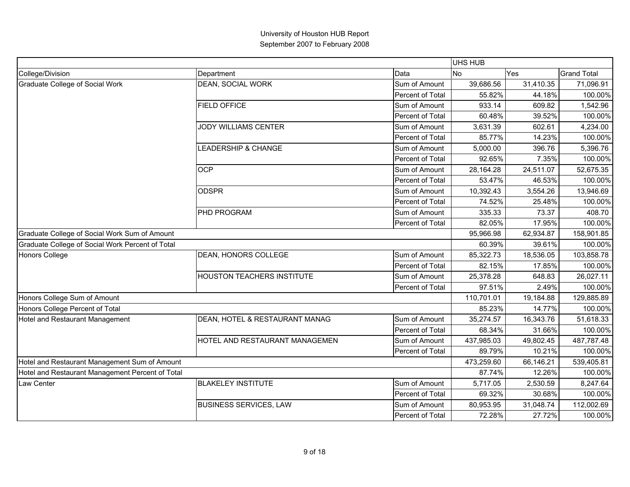|                                                  |                                |                  | UHS HUB    |           |                    |
|--------------------------------------------------|--------------------------------|------------------|------------|-----------|--------------------|
| College/Division                                 | Department                     | Data             | <b>No</b>  | Yes       | <b>Grand Total</b> |
| Graduate College of Social Work                  | <b>DEAN, SOCIAL WORK</b>       | Sum of Amount    | 39,686.56  | 31,410.35 | 71,096.91          |
|                                                  |                                | Percent of Total | 55.82%     | 44.18%    | 100.00%            |
|                                                  | <b>FIELD OFFICE</b>            | Sum of Amount    | 933.14     | 609.82    | 1,542.96           |
|                                                  |                                | Percent of Total | 60.48%     | 39.52%    | 100.00%            |
|                                                  | JODY WILLIAMS CENTER           | Sum of Amount    | 3,631.39   | 602.61    | 4,234.00           |
|                                                  |                                | Percent of Total | 85.77%     | 14.23%    | 100.00%            |
|                                                  | LEADERSHIP & CHANGE            | Sum of Amount    | 5,000.00   | 396.76    | 5,396.76           |
|                                                  |                                | Percent of Total | 92.65%     | 7.35%     | 100.00%            |
|                                                  | <b>OCP</b>                     | Sum of Amount    | 28,164.28  | 24,511.07 | 52,675.35          |
|                                                  |                                | Percent of Total | 53.47%     | 46.53%    | 100.00%            |
|                                                  | <b>ODSPR</b>                   | Sum of Amount    | 10,392.43  | 3,554.26  | 13,946.69          |
|                                                  |                                | Percent of Total | 74.52%     | 25.48%    | 100.00%            |
|                                                  | PHD PROGRAM                    | Sum of Amount    | 335.33     | 73.37     | 408.70             |
|                                                  |                                | Percent of Total | 82.05%     | 17.95%    | 100.00%            |
| Graduate College of Social Work Sum of Amount    |                                |                  | 95,966.98  | 62,934.87 | 158,901.85         |
| Graduate College of Social Work Percent of Total |                                |                  | 60.39%     | 39.61%    | 100.00%            |
| <b>Honors College</b>                            | <b>DEAN, HONORS COLLEGE</b>    | Sum of Amount    | 85,322.73  | 18,536.05 | 103,858.78         |
|                                                  |                                | Percent of Total | 82.15%     | 17.85%    | 100.00%            |
|                                                  | HOUSTON TEACHERS INSTITUTE     | Sum of Amount    | 25,378.28  | 648.83    | 26,027.11          |
|                                                  |                                | Percent of Total | 97.51%     | 2.49%     | 100.00%            |
| Honors College Sum of Amount                     |                                |                  | 110,701.01 | 19,184.88 | 129,885.89         |
| Honors College Percent of Total                  |                                |                  | 85.23%     | 14.77%    | 100.00%            |
| Hotel and Restaurant Management                  | DEAN, HOTEL & RESTAURANT MANAG | Sum of Amount    | 35,274.57  | 16,343.76 | 51,618.33          |
|                                                  |                                | Percent of Total | 68.34%     | 31.66%    | 100.00%            |
|                                                  | HOTEL AND RESTAURANT MANAGEMEN | Sum of Amount    | 437,985.03 | 49,802.45 | 487,787.48         |
|                                                  |                                | Percent of Total | 89.79%     | 10.21%    | 100.00%            |
| Hotel and Restaurant Management Sum of Amount    |                                |                  | 473,259.60 | 66,146.21 | 539,405.81         |
| Hotel and Restaurant Management Percent of Total |                                |                  | 87.74%     | 12.26%    | 100.00%            |
| Law Center                                       | <b>BLAKELEY INSTITUTE</b>      | Sum of Amount    | 5,717.05   | 2,530.59  | 8,247.64           |
|                                                  |                                | Percent of Total | 69.32%     | 30.68%    | 100.00%            |
|                                                  | <b>BUSINESS SERVICES, LAW</b>  | Sum of Amount    | 80,953.95  | 31,048.74 | 112,002.69         |
|                                                  |                                | Percent of Total | 72.28%     | 27.72%    | 100.00%            |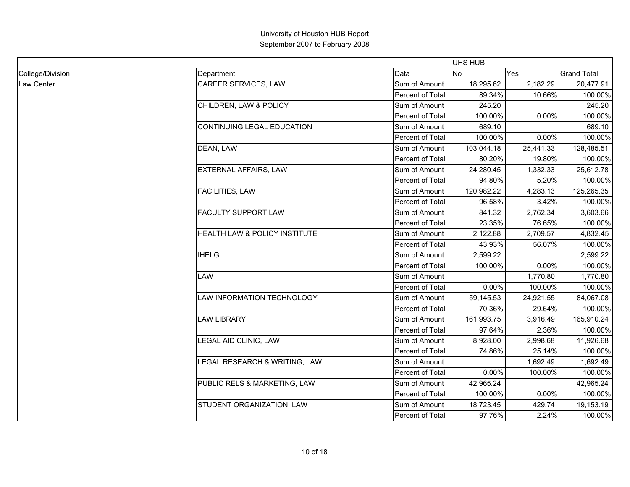|                  |                               |                  | UHS HUB    |           |                    |
|------------------|-------------------------------|------------------|------------|-----------|--------------------|
| College/Division | Department                    | Data             | <b>No</b>  | Yes       | <b>Grand Total</b> |
| Law Center       | CAREER SERVICES, LAW          | Sum of Amount    | 18,295.62  | 2,182.29  | 20,477.91          |
|                  |                               | Percent of Total | 89.34%     | 10.66%    | 100.00%            |
|                  | CHILDREN, LAW & POLICY        | Sum of Amount    | 245.20     |           | 245.20             |
|                  |                               | Percent of Total | 100.00%    | 0.00%     | 100.00%            |
|                  | CONTINUING LEGAL EDUCATION    | Sum of Amount    | 689.10     |           | 689.10             |
|                  |                               | Percent of Total | 100.00%    | 0.00%     | 100.00%            |
|                  | DEAN, LAW                     | Sum of Amount    | 103,044.18 | 25,441.33 | 128,485.51         |
|                  |                               | Percent of Total | 80.20%     | 19.80%    | 100.00%            |
|                  | EXTERNAL AFFAIRS, LAW         | Sum of Amount    | 24,280.45  | 1,332.33  | 25,612.78          |
|                  |                               | Percent of Total | 94.80%     | 5.20%     | 100.00%            |
|                  | <b>FACILITIES, LAW</b>        | Sum of Amount    | 120,982.22 | 4,283.13  | 125,265.35         |
|                  |                               | Percent of Total | 96.58%     | 3.42%     | 100.00%            |
|                  | <b>FACULTY SUPPORT LAW</b>    | Sum of Amount    | 841.32     | 2,762.34  | 3,603.66           |
|                  |                               | Percent of Total | 23.35%     | 76.65%    | 100.00%            |
|                  | HEALTH LAW & POLICY INSTITUTE | Sum of Amount    | 2,122.88   | 2,709.57  | 4,832.45           |
|                  |                               | Percent of Total | 43.93%     | 56.07%    | 100.00%            |
|                  | <b>IHELG</b>                  | Sum of Amount    | 2,599.22   |           | 2,599.22           |
|                  |                               | Percent of Total | 100.00%    | 0.00%     | 100.00%            |
|                  | LAW                           | Sum of Amount    |            | 1,770.80  | 1,770.80           |
|                  |                               | Percent of Total | 0.00%      | 100.00%   | 100.00%            |
|                  | LAW INFORMATION TECHNOLOGY    | Sum of Amount    | 59,145.53  | 24,921.55 | 84,067.08          |
|                  |                               | Percent of Total | 70.36%     | 29.64%    | 100.00%            |
|                  | <b>LAW LIBRARY</b>            | Sum of Amount    | 161,993.75 | 3,916.49  | 165,910.24         |
|                  |                               | Percent of Total | 97.64%     | 2.36%     | 100.00%            |
|                  | LEGAL AID CLINIC, LAW         | Sum of Amount    | 8,928.00   | 2,998.68  | 11,926.68          |
|                  |                               | Percent of Total | 74.86%     | 25.14%    | 100.00%            |
|                  | LEGAL RESEARCH & WRITING, LAW | Sum of Amount    |            | 1,692.49  | 1,692.49           |
|                  |                               | Percent of Total | 0.00%      | 100.00%   | 100.00%            |
|                  | PUBLIC RELS & MARKETING, LAW  | Sum of Amount    | 42,965.24  |           | 42,965.24          |
|                  |                               | Percent of Total | 100.00%    | 0.00%     | 100.00%            |
|                  | STUDENT ORGANIZATION, LAW     | Sum of Amount    | 18,723.45  | 429.74    | 19,153.19          |
|                  |                               | Percent of Total | 97.76%     | 2.24%     | 100.00%            |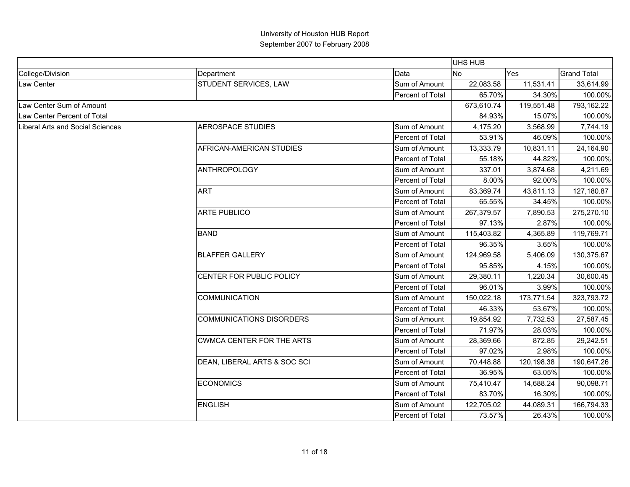|                                         |                                  |                         | <b>UHS HUB</b> |            |                    |
|-----------------------------------------|----------------------------------|-------------------------|----------------|------------|--------------------|
| College/Division                        | Department                       | Data                    | No             | Yes        | <b>Grand Total</b> |
| Law Center                              | STUDENT SERVICES, LAW            | Sum of Amount           | 22,083.58      | 11,531.41  | 33,614.99          |
|                                         |                                  | Percent of Total        | 65.70%         | 34.30%     | 100.00%            |
| Law Center Sum of Amount                |                                  |                         | 673,610.74     | 119,551.48 | 793,162.22         |
| Law Center Percent of Total             |                                  |                         | 84.93%         | 15.07%     | 100.00%            |
| <b>Liberal Arts and Social Sciences</b> | <b>AEROSPACE STUDIES</b>         | Sum of Amount           | 4,175.20       | 3,568.99   | 7,744.19           |
|                                         |                                  | Percent of Total        | 53.91%         | 46.09%     | 100.00%            |
|                                         | AFRICAN-AMERICAN STUDIES         | Sum of Amount           | 13,333.79      | 10,831.11  | 24,164.90          |
|                                         |                                  | <b>Percent of Total</b> | 55.18%         | 44.82%     | 100.00%            |
|                                         | <b>ANTHROPOLOGY</b>              | Sum of Amount           | 337.01         | 3,874.68   | 4,211.69           |
|                                         |                                  | Percent of Total        | 8.00%          | 92.00%     | 100.00%            |
|                                         | <b>ART</b>                       | Sum of Amount           | 83,369.74      | 43,811.13  | 127,180.87         |
|                                         |                                  | Percent of Total        | 65.55%         | 34.45%     | 100.00%            |
|                                         | <b>ARTE PUBLICO</b>              | Sum of Amount           | 267,379.57     | 7,890.53   | 275,270.10         |
|                                         |                                  | Percent of Total        | 97.13%         | 2.87%      | 100.00%            |
|                                         | <b>BAND</b>                      | Sum of Amount           | 115,403.82     | 4,365.89   | 119,769.71         |
|                                         |                                  | Percent of Total        | 96.35%         | 3.65%      | 100.00%            |
|                                         | <b>BLAFFER GALLERY</b>           | Sum of Amount           | 124,969.58     | 5,406.09   | 130,375.67         |
|                                         |                                  | Percent of Total        | 95.85%         | 4.15%      | 100.00%            |
|                                         | CENTER FOR PUBLIC POLICY         | Sum of Amount           | 29,380.11      | 1,220.34   | 30,600.45          |
|                                         |                                  | Percent of Total        | 96.01%         | 3.99%      | 100.00%            |
|                                         | <b>COMMUNICATION</b>             | Sum of Amount           | 150,022.18     | 173,771.54 | 323,793.72         |
|                                         |                                  | Percent of Total        | 46.33%         | 53.67%     | 100.00%            |
|                                         | <b>COMMUNICATIONS DISORDERS</b>  | Sum of Amount           | 19,854.92      | 7,732.53   | 27,587.45          |
|                                         |                                  | Percent of Total        | 71.97%         | 28.03%     | 100.00%            |
|                                         | <b>CWMCA CENTER FOR THE ARTS</b> | Sum of Amount           | 28,369.66      | 872.85     | 29,242.51          |
|                                         |                                  | Percent of Total        | 97.02%         | 2.98%      | 100.00%            |
|                                         | DEAN, LIBERAL ARTS & SOC SCI     | Sum of Amount           | 70,448.88      | 120,198.38 | 190,647.26         |
|                                         |                                  | Percent of Total        | 36.95%         | 63.05%     | 100.00%            |
|                                         | <b>ECONOMICS</b>                 | Sum of Amount           | 75,410.47      | 14,688.24  | 90,098.71          |
|                                         |                                  | Percent of Total        | 83.70%         | 16.30%     | 100.00%            |
|                                         | <b>ENGLISH</b>                   | Sum of Amount           | 122,705.02     | 44,089.31  | 166,794.33         |
|                                         |                                  | Percent of Total        | 73.57%         | 26.43%     | 100.00%            |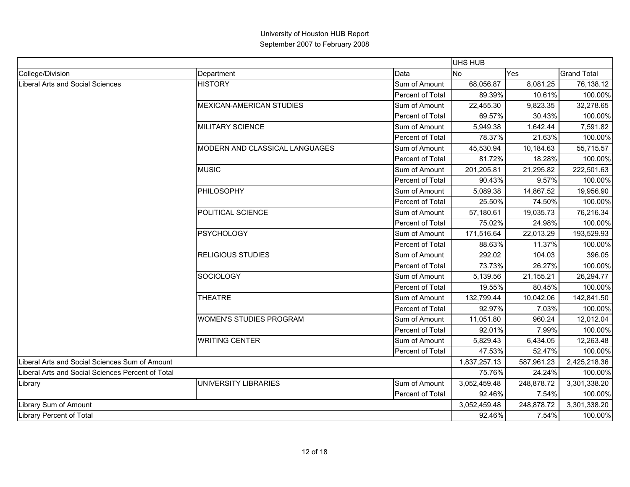|                                                   |                                 |                  | <b>UHS HUB</b> |              |                    |
|---------------------------------------------------|---------------------------------|------------------|----------------|--------------|--------------------|
| College/Division                                  | Department                      | Data             | <b>No</b>      | Yes          | <b>Grand Total</b> |
| Liberal Arts and Social Sciences                  | <b>HISTORY</b>                  | Sum of Amount    | 68,056.87      | 8,081.25     | 76,138.12          |
|                                                   |                                 | Percent of Total | 89.39%         | 10.61%       | 100.00%            |
|                                                   | <b>MEXICAN-AMERICAN STUDIES</b> | Sum of Amount    | 22,455.30      | 9,823.35     | 32,278.65          |
|                                                   |                                 | Percent of Total | 69.57%         | 30.43%       | 100.00%            |
|                                                   | <b>MILITARY SCIENCE</b>         | Sum of Amount    | 5,949.38       | 1,642.44     | 7,591.82           |
|                                                   |                                 | Percent of Total | 78.37%         | 21.63%       | 100.00%            |
|                                                   | MODERN AND CLASSICAL LANGUAGES  | Sum of Amount    | 45,530.94      | 10,184.63    | 55,715.57          |
|                                                   |                                 | Percent of Total | 81.72%         | 18.28%       | 100.00%            |
|                                                   | <b>MUSIC</b>                    | Sum of Amount    | 201,205.81     | 21,295.82    | 222,501.63         |
|                                                   |                                 | Percent of Total | 90.43%         | 9.57%        | 100.00%            |
|                                                   | PHILOSOPHY                      | Sum of Amount    | 5,089.38       | 14,867.52    | 19,956.90          |
|                                                   |                                 | Percent of Total | 25.50%         | 74.50%       | 100.00%            |
|                                                   | POLITICAL SCIENCE               | Sum of Amount    | 57,180.61      | 19,035.73    | 76,216.34          |
|                                                   |                                 | Percent of Total | 75.02%         | 24.98%       | 100.00%            |
|                                                   | <b>PSYCHOLOGY</b>               | Sum of Amount    | 171,516.64     | 22,013.29    | 193,529.93         |
|                                                   |                                 | Percent of Total | 88.63%         | 11.37%       | 100.00%            |
|                                                   | <b>RELIGIOUS STUDIES</b>        | Sum of Amount    | 292.02         | 104.03       | 396.05             |
|                                                   |                                 | Percent of Total | 73.73%         | 26.27%       | 100.00%            |
|                                                   | <b>SOCIOLOGY</b>                | Sum of Amount    | 5,139.56       | 21,155.21    | 26,294.77          |
|                                                   |                                 | Percent of Total | 19.55%         | 80.45%       | 100.00%            |
|                                                   | <b>THEATRE</b>                  | Sum of Amount    | 132,799.44     | 10,042.06    | 142,841.50         |
|                                                   |                                 | Percent of Total | 92.97%         | 7.03%        | 100.00%            |
|                                                   | <b>WOMEN'S STUDIES PROGRAM</b>  | Sum of Amount    | 11,051.80      | 960.24       | 12,012.04          |
|                                                   |                                 | Percent of Total | 92.01%         | 7.99%        | 100.00%            |
|                                                   | <b>WRITING CENTER</b>           | Sum of Amount    | 5,829.43       | 6,434.05     | 12,263.48          |
|                                                   |                                 | Percent of Total | 47.53%         | 52.47%       | 100.00%            |
| Liberal Arts and Social Sciences Sum of Amount    |                                 | 1,837,257.13     | 587,961.23     | 2,425,218.36 |                    |
| Liberal Arts and Social Sciences Percent of Total |                                 |                  | 75.76%         | 24.24%       | 100.00%            |
| Library                                           | UNIVERSITY LIBRARIES            | Sum of Amount    | 3,052,459.48   | 248,878.72   | 3,301,338.20       |
|                                                   |                                 | Percent of Total | 92.46%         | 7.54%        | 100.00%            |
| Library Sum of Amount                             |                                 | 3,052,459.48     | 248,878.72     | 3,301,338.20 |                    |
| Library Percent of Total                          |                                 |                  | 92.46%         | 7.54%        | 100.00%            |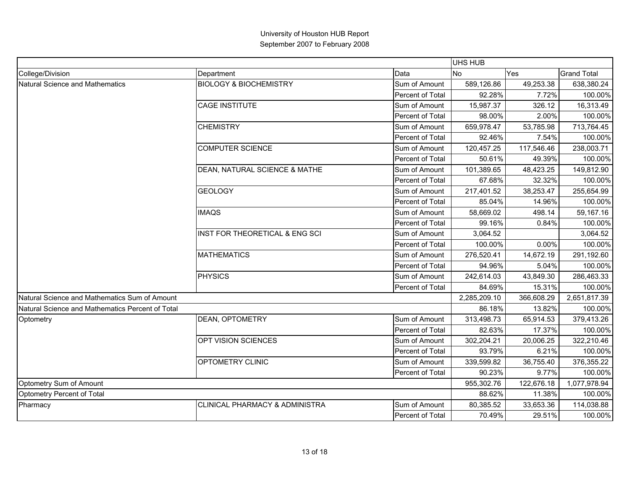|                                                  |                                   |                  | <b>UHS HUB</b> |            |                    |
|--------------------------------------------------|-----------------------------------|------------------|----------------|------------|--------------------|
| College/Division                                 | Department                        | Data             | <b>No</b>      | <b>Yes</b> | <b>Grand Total</b> |
| <b>Natural Science and Mathematics</b>           | <b>BIOLOGY &amp; BIOCHEMISTRY</b> | Sum of Amount    | 589,126.86     | 49,253.38  | 638,380.24         |
|                                                  |                                   | Percent of Total | 92.28%         | 7.72%      | 100.00%            |
|                                                  | <b>CAGE INSTITUTE</b>             | Sum of Amount    | 15,987.37      | 326.12     | 16,313.49          |
|                                                  |                                   | Percent of Total | 98.00%         | 2.00%      | 100.00%            |
|                                                  | <b>CHEMISTRY</b>                  | Sum of Amount    | 659,978.47     | 53,785.98  | 713,764.45         |
|                                                  |                                   | Percent of Total | 92.46%         | 7.54%      | 100.00%            |
|                                                  | <b>COMPUTER SCIENCE</b>           | Sum of Amount    | 120,457.25     | 117,546.46 | 238,003.71         |
|                                                  |                                   | Percent of Total | 50.61%         | 49.39%     | 100.00%            |
|                                                  | DEAN, NATURAL SCIENCE & MATHE     | Sum of Amount    | 101,389.65     | 48,423.25  | 149,812.90         |
|                                                  |                                   | Percent of Total | 67.68%         | 32.32%     | 100.00%            |
|                                                  | <b>GEOLOGY</b>                    | Sum of Amount    | 217,401.52     | 38,253.47  | 255,654.99         |
|                                                  |                                   | Percent of Total | 85.04%         | 14.96%     | 100.00%            |
|                                                  | <b>IMAQS</b>                      | Sum of Amount    | 58,669.02      | 498.14     | 59,167.16          |
|                                                  |                                   | Percent of Total | 99.16%         | 0.84%      | 100.00%            |
|                                                  | INST FOR THEORETICAL & ENG SCI    | Sum of Amount    | 3,064.52       |            | 3,064.52           |
|                                                  |                                   | Percent of Total | 100.00%        | 0.00%      | 100.00%            |
|                                                  | <b>MATHEMATICS</b>                | Sum of Amount    | 276,520.41     | 14,672.19  | 291,192.60         |
|                                                  |                                   | Percent of Total | 94.96%         | 5.04%      | 100.00%            |
|                                                  | <b>PHYSICS</b>                    | Sum of Amount    | 242,614.03     | 43,849.30  | 286,463.33         |
|                                                  |                                   | Percent of Total | 84.69%         | 15.31%     | 100.00%            |
| Natural Science and Mathematics Sum of Amount    |                                   |                  | 2,285,209.10   | 366,608.29 | 2,651,817.39       |
| Natural Science and Mathematics Percent of Total |                                   |                  | 86.18%         | 13.82%     | 100.00%            |
| Optometry                                        | <b>DEAN, OPTOMETRY</b>            | Sum of Amount    | 313,498.73     | 65,914.53  | 379,413.26         |
|                                                  |                                   | Percent of Total | 82.63%         | 17.37%     | 100.00%            |
|                                                  | OPT VISION SCIENCES               | Sum of Amount    | 302,204.21     | 20,006.25  | 322,210.46         |
|                                                  |                                   | Percent of Total | 93.79%         | 6.21%      | 100.00%            |
|                                                  | OPTOMETRY CLINIC                  | Sum of Amount    | 339,599.82     | 36,755.40  | 376,355.22         |
|                                                  |                                   | Percent of Total | 90.23%         | 9.77%      | 100.00%            |
| Optometry Sum of Amount                          |                                   |                  | 955,302.76     | 122,676.18 | 1,077,978.94       |
| Optometry Percent of Total                       |                                   |                  | 88.62%         | 11.38%     | 100.00%            |
| Pharmacy                                         | CLINICAL PHARMACY & ADMINISTRA    | Sum of Amount    | 80,385.52      | 33,653.36  | 114,038.88         |
|                                                  |                                   | Percent of Total | 70.49%         | 29.51%     | 100.00%            |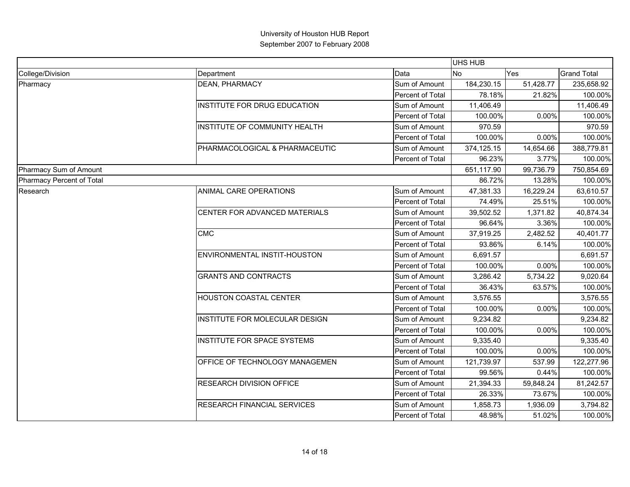|                           |                                    |                         | <b>UHS HUB</b> |            |                    |
|---------------------------|------------------------------------|-------------------------|----------------|------------|--------------------|
| College/Division          | Department                         | Data                    | <b>No</b>      | <b>Yes</b> | <b>Grand Total</b> |
| Pharmacy                  | <b>DEAN, PHARMACY</b>              | Sum of Amount           | 184,230.15     | 51,428.77  | 235,658.92         |
|                           |                                    | Percent of Total        | 78.18%         | 21.82%     | 100.00%            |
|                           | INSTITUTE FOR DRUG EDUCATION       | Sum of Amount           | 11,406.49      |            | 11,406.49          |
|                           |                                    | Percent of Total        | 100.00%        | 0.00%      | 100.00%            |
|                           | INSTITUTE OF COMMUNITY HEALTH      | Sum of Amount           | 970.59         |            | 970.59             |
|                           |                                    | Percent of Total        | 100.00%        | 0.00%      | 100.00%            |
|                           | PHARMACOLOGICAL & PHARMACEUTIC     | Sum of Amount           | 374,125.15     | 14,654.66  | 388,779.81         |
|                           |                                    | Percent of Total        | 96.23%         | 3.77%      | 100.00%            |
| Pharmacy Sum of Amount    |                                    |                         | 651,117.90     | 99,736.79  | 750,854.69         |
| Pharmacy Percent of Total |                                    |                         | 86.72%         | 13.28%     | 100.00%            |
| Research                  | ANIMAL CARE OPERATIONS             | Sum of Amount           | 47,381.33      | 16,229.24  | 63,610.57          |
|                           |                                    | Percent of Total        | 74.49%         | 25.51%     | 100.00%            |
|                           | CENTER FOR ADVANCED MATERIALS      | Sum of Amount           | 39,502.52      | 1,371.82   | 40,874.34          |
|                           |                                    | Percent of Total        | 96.64%         | 3.36%      | 100.00%            |
|                           | <b>CMC</b>                         | Sum of Amount           | 37,919.25      | 2,482.52   | 40,401.77          |
|                           |                                    | <b>Percent of Total</b> | 93.86%         | 6.14%      | 100.00%            |
|                           | ENVIRONMENTAL INSTIT-HOUSTON       | Sum of Amount           | 6,691.57       |            | 6,691.57           |
|                           |                                    | Percent of Total        | 100.00%        | 0.00%      | 100.00%            |
|                           | <b>GRANTS AND CONTRACTS</b>        | Sum of Amount           | 3,286.42       | 5,734.22   | 9,020.64           |
|                           |                                    | Percent of Total        | 36.43%         | 63.57%     | 100.00%            |
|                           | HOUSTON COASTAL CENTER             | Sum of Amount           | 3,576.55       |            | 3,576.55           |
|                           |                                    | Percent of Total        | 100.00%        | 0.00%      | 100.00%            |
|                           | INSTITUTE FOR MOLECULAR DESIGN     | Sum of Amount           | 9,234.82       |            | 9,234.82           |
|                           |                                    | Percent of Total        | 100.00%        | 0.00%      | 100.00%            |
|                           | <b>INSTITUTE FOR SPACE SYSTEMS</b> | Sum of Amount           | 9,335.40       |            | 9,335.40           |
|                           |                                    | Percent of Total        | 100.00%        | 0.00%      | 100.00%            |
|                           | OFFICE OF TECHNOLOGY MANAGEMEN     | Sum of Amount           | 121,739.97     | 537.99     | 122,277.96         |
|                           |                                    | Percent of Total        | 99.56%         | 0.44%      | 100.00%            |
|                           | RESEARCH DIVISION OFFICE           | Sum of Amount           | 21,394.33      | 59,848.24  | 81,242.57          |
|                           |                                    | Percent of Total        | 26.33%         | 73.67%     | 100.00%            |
|                           | <b>RESEARCH FINANCIAL SERVICES</b> | Sum of Amount           | 1,858.73       | 1,936.09   | 3,794.82           |
|                           |                                    | Percent of Total        | 48.98%         | 51.02%     | 100.00%            |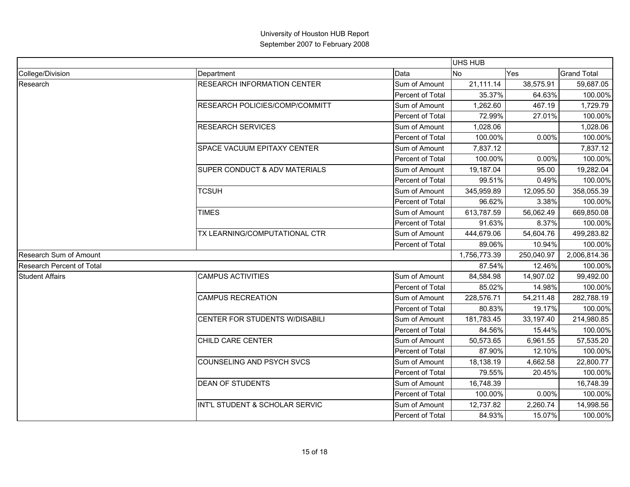|                                  |                                    |                  | <b>UHS HUB</b> |              |                    |
|----------------------------------|------------------------------------|------------------|----------------|--------------|--------------------|
| College/Division                 | Department                         | Data             | <b>No</b>      | Yes          | <b>Grand Total</b> |
| Research                         | <b>RESEARCH INFORMATION CENTER</b> | Sum of Amount    | 21,111.14      | 38,575.91    | 59,687.05          |
|                                  |                                    | Percent of Total | 35.37%         | 64.63%       | 100.00%            |
|                                  | RESEARCH POLICIES/COMP/COMMITT     | Sum of Amount    | 1,262.60       | 467.19       | 1,729.79           |
|                                  |                                    | Percent of Total | 72.99%         | 27.01%       | 100.00%            |
|                                  | <b>RESEARCH SERVICES</b>           | Sum of Amount    | 1,028.06       |              | 1,028.06           |
|                                  |                                    | Percent of Total | 100.00%        | 0.00%        | 100.00%            |
|                                  | SPACE VACUUM EPITAXY CENTER        | Sum of Amount    | 7,837.12       |              | 7,837.12           |
|                                  |                                    | Percent of Total | 100.00%        | 0.00%        | 100.00%            |
|                                  | SUPER CONDUCT & ADV MATERIALS      | Sum of Amount    | 19,187.04      | 95.00        | 19,282.04          |
|                                  |                                    | Percent of Total | 99.51%         | 0.49%        | 100.00%            |
|                                  | <b>TCSUH</b>                       | Sum of Amount    | 345,959.89     | 12,095.50    | 358,055.39         |
|                                  |                                    | Percent of Total | 96.62%         | 3.38%        | 100.00%            |
|                                  | <b>TIMES</b>                       | Sum of Amount    | 613,787.59     | 56,062.49    | 669,850.08         |
|                                  |                                    | Percent of Total | 91.63%         | 8.37%        | 100.00%            |
|                                  | TX LEARNING/COMPUTATIONAL CTR      | Sum of Amount    | 444,679.06     | 54,604.76    | 499,283.82         |
|                                  |                                    | Percent of Total | 89.06%         | 10.94%       | 100.00%            |
| Research Sum of Amount           |                                    | 1,756,773.39     | 250,040.97     | 2,006,814.36 |                    |
| <b>Research Percent of Total</b> |                                    | 87.54%           | 12.46%         | 100.00%      |                    |
| <b>Student Affairs</b>           | <b>CAMPUS ACTIVITIES</b>           | Sum of Amount    | 84,584.98      | 14,907.02    | 99,492.00          |
|                                  |                                    | Percent of Total | 85.02%         | 14.98%       | 100.00%            |
|                                  | <b>CAMPUS RECREATION</b>           | Sum of Amount    | 228,576.71     | 54,211.48    | 282,788.19         |
|                                  |                                    | Percent of Total | 80.83%         | 19.17%       | 100.00%            |
|                                  | CENTER FOR STUDENTS W/DISABILI     | Sum of Amount    | 181,783.45     | 33,197.40    | 214,980.85         |
|                                  |                                    | Percent of Total | 84.56%         | 15.44%       | 100.00%            |
|                                  | CHILD CARE CENTER                  | Sum of Amount    | 50,573.65      | 6,961.55     | 57,535.20          |
|                                  |                                    | Percent of Total | 87.90%         | 12.10%       | 100.00%            |
|                                  | COUNSELING AND PSYCH SVCS          | Sum of Amount    | 18,138.19      | 4,662.58     | 22,800.77          |
|                                  |                                    | Percent of Total | 79.55%         | 20.45%       | 100.00%            |
|                                  | <b>DEAN OF STUDENTS</b>            | Sum of Amount    | 16,748.39      |              | 16,748.39          |
|                                  |                                    | Percent of Total | 100.00%        | 0.00%        | 100.00%            |
|                                  | INT'L STUDENT & SCHOLAR SERVIC     | Sum of Amount    | 12,737.82      | 2,260.74     | 14,998.56          |
|                                  |                                    | Percent of Total | 84.93%         | 15.07%       | 100.00%            |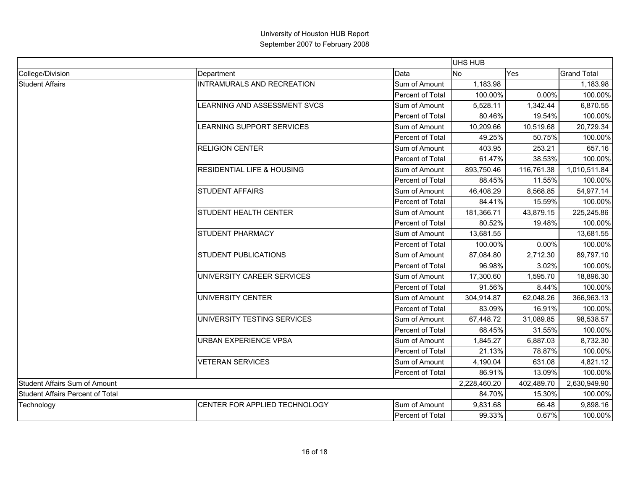|                                         |                                       |                  | UHS HUB      |            |                    |
|-----------------------------------------|---------------------------------------|------------------|--------------|------------|--------------------|
| College/Division                        | Department                            | Data             | <b>No</b>    | Yes        | <b>Grand Total</b> |
| <b>Student Affairs</b>                  | INTRAMURALS AND RECREATION            | Sum of Amount    | 1,183.98     |            | 1,183.98           |
|                                         |                                       | Percent of Total | 100.00%      | 0.00%      | 100.00%            |
|                                         | LEARNING AND ASSESSMENT SVCS          | Sum of Amount    | 5,528.11     | 1,342.44   | 6,870.55           |
|                                         |                                       | Percent of Total | 80.46%       | 19.54%     | 100.00%            |
|                                         | LEARNING SUPPORT SERVICES             | Sum of Amount    | 10,209.66    | 10,519.68  | 20,729.34          |
|                                         |                                       | Percent of Total | 49.25%       | 50.75%     | 100.00%            |
|                                         | <b>RELIGION CENTER</b>                | Sum of Amount    | 403.95       | 253.21     | 657.16             |
|                                         |                                       | Percent of Total | 61.47%       | 38.53%     | 100.00%            |
|                                         | <b>RESIDENTIAL LIFE &amp; HOUSING</b> | Sum of Amount    | 893,750.46   | 116,761.38 | 1,010,511.84       |
|                                         |                                       | Percent of Total | 88.45%       | 11.55%     | 100.00%            |
|                                         | <b>STUDENT AFFAIRS</b>                | Sum of Amount    | 46,408.29    | 8,568.85   | 54,977.14          |
|                                         |                                       | Percent of Total | 84.41%       | 15.59%     | 100.00%            |
|                                         | <b>STUDENT HEALTH CENTER</b>          | Sum of Amount    | 181,366.71   | 43,879.15  | 225,245.86         |
|                                         |                                       | Percent of Total | 80.52%       | 19.48%     | 100.00%            |
|                                         | <b>STUDENT PHARMACY</b>               | Sum of Amount    | 13,681.55    |            | 13,681.55          |
|                                         |                                       | Percent of Total | 100.00%      | 0.00%      | 100.00%            |
|                                         | <b>STUDENT PUBLICATIONS</b>           | Sum of Amount    | 87,084.80    | 2,712.30   | 89,797.10          |
|                                         |                                       | Percent of Total | 96.98%       | 3.02%      | 100.00%            |
|                                         | UNIVERSITY CAREER SERVICES            | Sum of Amount    | 17,300.60    | 1,595.70   | 18,896.30          |
|                                         |                                       | Percent of Total | 91.56%       | 8.44%      | 100.00%            |
|                                         | <b>UNIVERSITY CENTER</b>              | Sum of Amount    | 304,914.87   | 62,048.26  | 366,963.13         |
|                                         |                                       | Percent of Total | 83.09%       | 16.91%     | 100.00%            |
|                                         | UNIVERSITY TESTING SERVICES           | Sum of Amount    | 67,448.72    | 31,089.85  | 98,538.57          |
|                                         |                                       | Percent of Total | 68.45%       | 31.55%     | 100.00%            |
|                                         | URBAN EXPERIENCE VPSA                 | Sum of Amount    | 1,845.27     | 6,887.03   | 8,732.30           |
|                                         |                                       | Percent of Total | 21.13%       | 78.87%     | 100.00%            |
|                                         | <b>VETERAN SERVICES</b>               | Sum of Amount    | 4,190.04     | 631.08     | 4,821.12           |
|                                         |                                       | Percent of Total | 86.91%       | 13.09%     | 100.00%            |
| Student Affairs Sum of Amount           |                                       |                  | 2,228,460.20 | 402,489.70 | 2,630,949.90       |
| <b>Student Affairs Percent of Total</b> |                                       |                  | 84.70%       | 15.30%     | 100.00%            |
| Technology                              | CENTER FOR APPLIED TECHNOLOGY         | Sum of Amount    | 9,831.68     | 66.48      | 9,898.16           |
|                                         |                                       | Percent of Total | 99.33%       | 0.67%      | 100.00%            |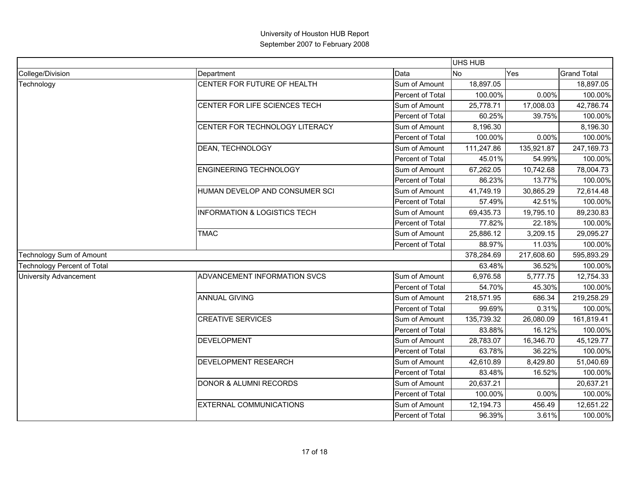|                                    |                                         |                  | <b>UHS HUB</b> |            |                    |
|------------------------------------|-----------------------------------------|------------------|----------------|------------|--------------------|
| College/Division                   | Department                              | Data             | No<br>Yes      |            | <b>Grand Total</b> |
| Technology                         | CENTER FOR FUTURE OF HEALTH             | Sum of Amount    | 18,897.05      |            | 18,897.05          |
|                                    |                                         | Percent of Total | 100.00%        | 0.00%      | 100.00%            |
|                                    | CENTER FOR LIFE SCIENCES TECH           | Sum of Amount    | 25,778.71      | 17,008.03  | 42,786.74          |
|                                    |                                         | Percent of Total | 60.25%         | 39.75%     | 100.00%            |
|                                    | CENTER FOR TECHNOLOGY LITERACY          | Sum of Amount    | 8,196.30       |            | 8,196.30           |
|                                    |                                         | Percent of Total | 100.00%        | 0.00%      | 100.00%            |
|                                    | DEAN, TECHNOLOGY                        | Sum of Amount    | 111,247.86     | 135,921.87 | 247,169.73         |
|                                    |                                         | Percent of Total | 45.01%         | 54.99%     | 100.00%            |
|                                    | <b>ENGINEERING TECHNOLOGY</b>           | Sum of Amount    | 67,262.05      | 10,742.68  | 78,004.73          |
|                                    |                                         | Percent of Total | 86.23%         | 13.77%     | 100.00%            |
|                                    | HUMAN DEVELOP AND CONSUMER SCI          | Sum of Amount    | 41,749.19      | 30,865.29  | 72,614.48          |
|                                    |                                         | Percent of Total | 57.49%         | 42.51%     | 100.00%            |
|                                    | <b>INFORMATION &amp; LOGISTICS TECH</b> | Sum of Amount    | 69,435.73      | 19,795.10  | 89,230.83          |
|                                    |                                         | Percent of Total | 77.82%         | 22.18%     | 100.00%            |
|                                    | <b>TMAC</b>                             | Sum of Amount    | 25,886.12      | 3,209.15   | 29,095.27          |
|                                    |                                         | Percent of Total | 88.97%         | 11.03%     | 100.00%            |
| Technology Sum of Amount           |                                         |                  | 378,284.69     | 217,608.60 | 595,893.29         |
| <b>Technology Percent of Total</b> |                                         |                  | 63.48%         | 36.52%     | 100.00%            |
| <b>University Advancement</b>      | ADVANCEMENT INFORMATION SVCS            | Sum of Amount    | 6,976.58       | 5,777.75   | 12,754.33          |
|                                    |                                         | Percent of Total | 54.70%         | 45.30%     | 100.00%            |
|                                    | <b>ANNUAL GIVING</b>                    | Sum of Amount    | 218,571.95     | 686.34     | 219,258.29         |
|                                    |                                         | Percent of Total | 99.69%         | 0.31%      | 100.00%            |
|                                    | <b>CREATIVE SERVICES</b>                | Sum of Amount    | 135,739.32     | 26,080.09  | 161,819.41         |
|                                    |                                         | Percent of Total | 83.88%         | 16.12%     | 100.00%            |
|                                    | <b>DEVELOPMENT</b>                      | Sum of Amount    | 28,783.07      | 16,346.70  | 45,129.77          |
|                                    |                                         | Percent of Total | 63.78%         | 36.22%     | 100.00%            |
|                                    | DEVELOPMENT RESEARCH                    | Sum of Amount    | 42,610.89      | 8,429.80   | 51,040.69          |
|                                    |                                         | Percent of Total | 83.48%         | 16.52%     | 100.00%            |
|                                    | <b>DONOR &amp; ALUMNI RECORDS</b>       | Sum of Amount    | 20,637.21      |            | 20,637.21          |
|                                    |                                         | Percent of Total | 100.00%        | 0.00%      | 100.00%            |
|                                    | <b>EXTERNAL COMMUNICATIONS</b>          | Sum of Amount    | 12,194.73      | 456.49     | 12,651.22          |
|                                    |                                         | Percent of Total | 96.39%         | 3.61%      | 100.00%            |